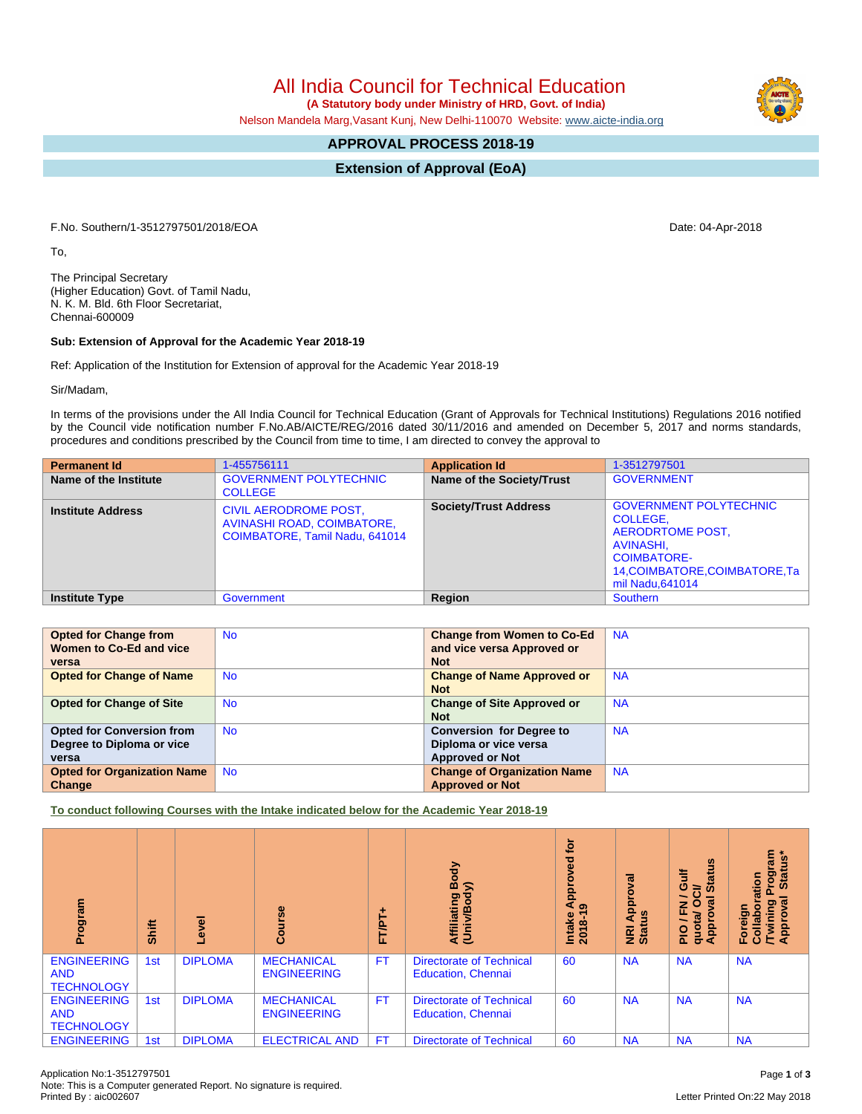## All India Council for Technical Education

 **(A Statutory body under Ministry of HRD, Govt. of India)**

Nelson Mandela Marg,Vasant Kunj, New Delhi-110070 Website: [www.aicte-india.org](http://www.aicte-india.org)

## **APPROVAL PROCESS 2018-19**

**Extension of Approval (EoA)**

F.No. Southern/1-3512797501/2018/EOA Date: 04-Apr-2018

To,

The Principal Secretary (Higher Education) Govt. of Tamil Nadu, N. K. M. Bld. 6th Floor Secretariat, Chennai-600009

## **Sub: Extension of Approval for the Academic Year 2018-19**

Ref: Application of the Institution for Extension of approval for the Academic Year 2018-19

Sir/Madam,

In terms of the provisions under the All India Council for Technical Education (Grant of Approvals for Technical Institutions) Regulations 2016 notified by the Council vide notification number F.No.AB/AICTE/REG/2016 dated 30/11/2016 and amended on December 5, 2017 and norms standards, procedures and conditions prescribed by the Council from time to time, I am directed to convey the approval to

| <b>Permanent Id</b>      | 1-455756111                                                                                  | <b>Application Id</b>        | 1-3512797501                                                                                                                                                  |
|--------------------------|----------------------------------------------------------------------------------------------|------------------------------|---------------------------------------------------------------------------------------------------------------------------------------------------------------|
| Name of the Institute    | <b>GOVERNMENT POLYTECHNIC</b><br><b>COLLEGE</b>                                              | Name of the Society/Trust    | <b>GOVERNMENT</b>                                                                                                                                             |
| <b>Institute Address</b> | <b>CIVIL AERODROME POST,</b><br>AVINASHI ROAD, COIMBATORE,<br>COIMBATORE, Tamil Nadu, 641014 | <b>Society/Trust Address</b> | <b>GOVERNMENT POLYTECHNIC</b><br>COLLEGE.<br><b>AERODRTOME POST,</b><br>AVINASHI,<br><b>COIMBATORE-</b><br>14, COIMBATORE, COIMBATORE, Ta<br>mil Nadu, 641014 |
| <b>Institute Type</b>    | Government                                                                                   | Region                       | <b>Southern</b>                                                                                                                                               |

| <b>Opted for Change from</b>       | <b>No</b> | <b>Change from Women to Co-Ed</b>  | <b>NA</b> |
|------------------------------------|-----------|------------------------------------|-----------|
| Women to Co-Ed and vice            |           | and vice versa Approved or         |           |
| versa                              |           | <b>Not</b>                         |           |
| <b>Opted for Change of Name</b>    | <b>No</b> | <b>Change of Name Approved or</b>  | <b>NA</b> |
|                                    |           | <b>Not</b>                         |           |
| <b>Opted for Change of Site</b>    | <b>No</b> | <b>Change of Site Approved or</b>  | <b>NA</b> |
|                                    |           | <b>Not</b>                         |           |
| <b>Opted for Conversion from</b>   | <b>No</b> | <b>Conversion for Degree to</b>    | <b>NA</b> |
| Degree to Diploma or vice          |           | Diploma or vice versa              |           |
| versa                              |           | <b>Approved or Not</b>             |           |
| <b>Opted for Organization Name</b> | <b>No</b> | <b>Change of Organization Name</b> | <b>NA</b> |
| Change                             |           | <b>Approved or Not</b>             |           |

**To conduct following Courses with the Intake indicated below for the Academic Year 2018-19**

| Program                                               | Shift | $\overline{\mathbf{c}}$ | 89<br>යි                                | ٠<br><b>FT/PT</b> | Body<br>⋦<br>Affiliating<br>(Univ/Body                       | ē<br>ᄝ<br><b>App</b><br>െ<br>Intake<br>2018-1 | ಸ<br>å<br><b>NRI Ap<br/>Status</b> | <b>Status</b><br>這<br>0<br>⇒<br>$\sigma$<br>z<br>叵<br><u>re</u><br><b>Appro</b><br>guot<br>$\frac{1}{2}$ | rogram<br>Status*<br><b>Statu</b><br>ation<br>$\sigma$<br>ဥ<br>Foreigr<br>Collab<br>Chwinin<br>Approv |
|-------------------------------------------------------|-------|-------------------------|-----------------------------------------|-------------------|--------------------------------------------------------------|-----------------------------------------------|------------------------------------|----------------------------------------------------------------------------------------------------------|-------------------------------------------------------------------------------------------------------|
| <b>ENGINEERING</b><br><b>AND</b><br><b>TECHNOLOGY</b> | 1st   | <b>DIPLOMA</b>          | <b>MECHANICAL</b><br><b>ENGINEERING</b> | <b>FT</b>         | <b>Directorate of Technical</b><br><b>Education, Chennai</b> | 60                                            | <b>NA</b>                          | <b>NA</b>                                                                                                | <b>NA</b>                                                                                             |
| <b>ENGINEERING</b><br><b>AND</b><br><b>TECHNOLOGY</b> | 1st   | <b>DIPLOMA</b>          | <b>MECHANICAL</b><br><b>ENGINEERING</b> | <b>FT</b>         | <b>Directorate of Technical</b><br><b>Education, Chennai</b> | 60                                            | <b>NA</b>                          | <b>NA</b>                                                                                                | <b>NA</b>                                                                                             |
| <b>ENGINEERING</b>                                    | 1st   | <b>DIPLOMA</b>          | <b>ELECTRICAL AND</b>                   | <b>FT</b>         | <b>Directorate of Technical</b>                              | 60                                            | <b>NA</b>                          | <b>NA</b>                                                                                                | <b>NA</b>                                                                                             |

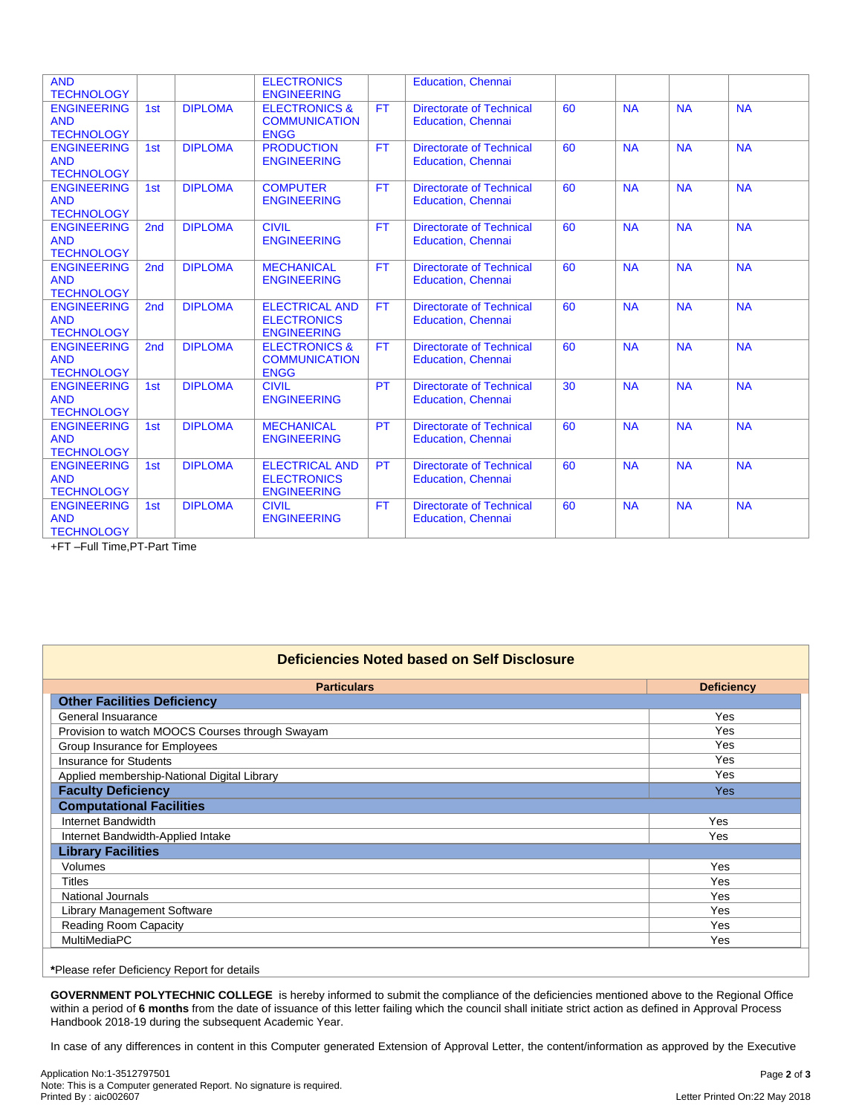| <b>AND</b><br><b>TECHNOLOGY</b>                       |                 |                | <b>ELECTRONICS</b><br><b>ENGINEERING</b>                          |           | <b>Education, Chennai</b>                                    |    |           |           |           |
|-------------------------------------------------------|-----------------|----------------|-------------------------------------------------------------------|-----------|--------------------------------------------------------------|----|-----------|-----------|-----------|
| <b>ENGINEERING</b><br><b>AND</b><br><b>TECHNOLOGY</b> | 1st             | <b>DIPLOMA</b> | <b>ELECTRONICS &amp;</b><br><b>COMMUNICATION</b><br><b>ENGG</b>   | <b>FT</b> | <b>Directorate of Technical</b><br><b>Education, Chennai</b> | 60 | <b>NA</b> | <b>NA</b> | <b>NA</b> |
| <b>ENGINEERING</b><br><b>AND</b><br><b>TECHNOLOGY</b> | 1st             | <b>DIPLOMA</b> | <b>PRODUCTION</b><br><b>ENGINEERING</b>                           | <b>FT</b> | <b>Directorate of Technical</b><br><b>Education, Chennai</b> | 60 | <b>NA</b> | <b>NA</b> | <b>NA</b> |
| <b>ENGINEERING</b><br><b>AND</b><br><b>TECHNOLOGY</b> | 1st             | <b>DIPLOMA</b> | <b>COMPUTER</b><br><b>ENGINEERING</b>                             | <b>FT</b> | <b>Directorate of Technical</b><br><b>Education, Chennai</b> | 60 | <b>NA</b> | <b>NA</b> | <b>NA</b> |
| <b>ENGINEERING</b><br><b>AND</b><br><b>TECHNOLOGY</b> | 2nd             | <b>DIPLOMA</b> | <b>CIVIL</b><br><b>ENGINEERING</b>                                | <b>FT</b> | <b>Directorate of Technical</b><br><b>Education, Chennai</b> | 60 | <b>NA</b> | <b>NA</b> | <b>NA</b> |
| <b>ENGINEERING</b><br><b>AND</b><br><b>TECHNOLOGY</b> | 2 <sub>nd</sub> | <b>DIPLOMA</b> | <b>MECHANICAL</b><br><b>ENGINEERING</b>                           | <b>FT</b> | <b>Directorate of Technical</b><br><b>Education, Chennai</b> | 60 | <b>NA</b> | <b>NA</b> | <b>NA</b> |
| <b>ENGINEERING</b><br><b>AND</b><br><b>TECHNOLOGY</b> | 2 <sub>nd</sub> | <b>DIPLOMA</b> | <b>ELECTRICAL AND</b><br><b>ELECTRONICS</b><br><b>ENGINEERING</b> | <b>FT</b> | <b>Directorate of Technical</b><br><b>Education, Chennai</b> | 60 | <b>NA</b> | <b>NA</b> | <b>NA</b> |
| <b>ENGINEERING</b><br><b>AND</b><br><b>TECHNOLOGY</b> | 2 <sub>nd</sub> | <b>DIPLOMA</b> | <b>ELECTRONICS &amp;</b><br><b>COMMUNICATION</b><br><b>ENGG</b>   | <b>FT</b> | <b>Directorate of Technical</b><br><b>Education, Chennai</b> | 60 | <b>NA</b> | <b>NA</b> | <b>NA</b> |
| <b>ENGINEERING</b><br><b>AND</b><br><b>TECHNOLOGY</b> | 1st             | <b>DIPLOMA</b> | <b>CIVIL</b><br><b>ENGINEERING</b>                                | <b>PT</b> | <b>Directorate of Technical</b><br><b>Education, Chennai</b> | 30 | <b>NA</b> | <b>NA</b> | <b>NA</b> |
| <b>ENGINEERING</b><br><b>AND</b><br><b>TECHNOLOGY</b> | 1st             | <b>DIPLOMA</b> | <b>MECHANICAL</b><br><b>ENGINEERING</b>                           | <b>PT</b> | <b>Directorate of Technical</b><br><b>Education, Chennai</b> | 60 | <b>NA</b> | <b>NA</b> | <b>NA</b> |
| <b>ENGINEERING</b><br><b>AND</b><br><b>TECHNOLOGY</b> | 1st             | <b>DIPLOMA</b> | <b>ELECTRICAL AND</b><br><b>ELECTRONICS</b><br><b>ENGINEERING</b> | <b>PT</b> | <b>Directorate of Technical</b><br><b>Education, Chennai</b> | 60 | <b>NA</b> | <b>NA</b> | <b>NA</b> |
| <b>ENGINEERING</b><br><b>AND</b><br><b>TECHNOLOGY</b> | 1st             | <b>DIPLOMA</b> | <b>CIVIL</b><br><b>ENGINEERING</b>                                | <b>FT</b> | <b>Directorate of Technical</b><br><b>Education, Chennai</b> | 60 | <b>NA</b> | <b>NA</b> | <b>NA</b> |

+FT –Full Time,PT-Part Time

| Deficiencies Noted based on Self Disclosure     |                   |  |  |  |  |  |
|-------------------------------------------------|-------------------|--|--|--|--|--|
| <b>Particulars</b>                              | <b>Deficiency</b> |  |  |  |  |  |
| <b>Other Facilities Deficiency</b>              |                   |  |  |  |  |  |
| General Insuarance                              | Yes               |  |  |  |  |  |
| Provision to watch MOOCS Courses through Swayam | Yes               |  |  |  |  |  |
| Group Insurance for Employees                   | Yes               |  |  |  |  |  |
| <b>Insurance for Students</b>                   | Yes               |  |  |  |  |  |
| Applied membership-National Digital Library     | Yes               |  |  |  |  |  |
| <b>Faculty Deficiency</b>                       | <b>Yes</b>        |  |  |  |  |  |
| <b>Computational Facilities</b>                 |                   |  |  |  |  |  |
| Internet Bandwidth                              | Yes               |  |  |  |  |  |
| Internet Bandwidth-Applied Intake               | Yes               |  |  |  |  |  |
| <b>Library Facilities</b>                       |                   |  |  |  |  |  |
| <b>Volumes</b>                                  | Yes               |  |  |  |  |  |
| Titles                                          | Yes               |  |  |  |  |  |
| <b>National Journals</b>                        | Yes               |  |  |  |  |  |
| <b>Library Management Software</b>              | <b>Yes</b>        |  |  |  |  |  |
| Reading Room Capacity                           | Yes               |  |  |  |  |  |
| <b>MultiMediaPC</b>                             | Yes               |  |  |  |  |  |
|                                                 |                   |  |  |  |  |  |

**\***Please refer Deficiency Report for details

**GOVERNMENT POLYTECHNIC COLLEGE** is hereby informed to submit the compliance of the deficiencies mentioned above to the Regional Office within a period of 6 months from the date of issuance of this letter failing which the council shall initiate strict action as defined in Approval Process Handbook 2018-19 during the subsequent Academic Year.

In case of any differences in content in this Computer generated Extension of Approval Letter, the content/information as approved by the Executive